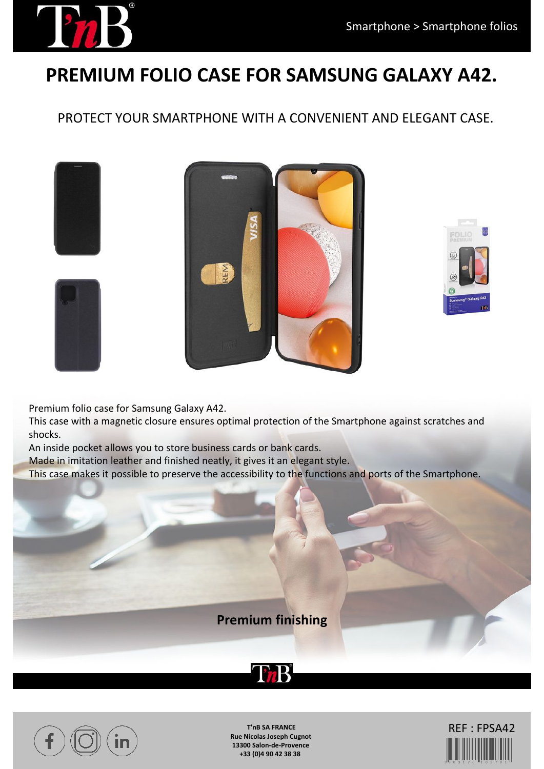## **PREMIUM FOLIO CASE FOR SAMSUNG GALAXY A42.**

PROTECT YOUR SMARTPHONE WITH A CONVENIENT AND ELEGANT CASE.





Premium folio case for Samsung Galaxy A42.

This case with a magnetic closure ensures optimal protection of the Smartphone against scratches and shocks.

An inside pocket allows you to store business cards or bank cards.

Made in imitation leather and finished neatly, it gives it an elegant style.

This case makes it possible to preserve the accessibility to the functions and ports of the Smartphone.







**T'nB SA FRANCE Rue Nicolas Joseph Cugnot 13300 Salon-de-Provence +33 (0)4 90 42 38 38**